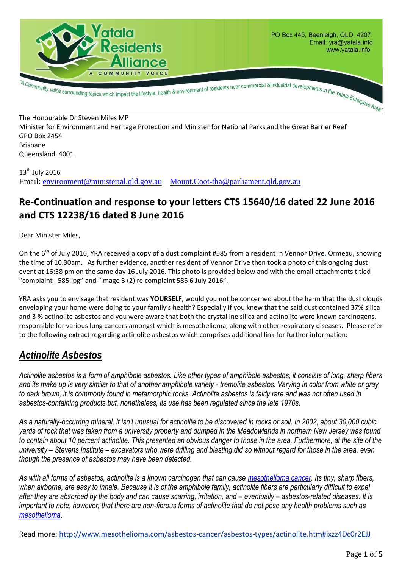

The Honourable Dr Steven Miles MP Minister for Environment and Heritage Protection and Minister for National Parks and the Great Barrier Reef GPO Box 2454 Brisbane Queensland 4001

13<sup>th</sup> July 2016 Email: [environment@ministerial.qld.gov.au](mailto:environment@ministerial.qld.gov.au) [Mount.Coot-tha@parliament.qld.gov.au](mailto:Mount.Coot-tha@parliament.qld.gov.au)

# **Re-Continuation and response to your letters CTS 15640/16 dated 22 June 2016 and CTS 12238/16 dated 8 June 2016**

Dear Minister Miles,

On the 6<sup>th</sup> of July 2016, YRA received a copy of a dust complaint #585 from a resident in Vennor Drive, Ormeau, showing the time of 10.30am. As further evidence, another resident of Vennor Drive then took a photo of this ongoing dust event at 16:38 pm on the same day 16 July 2016. This photo is provided below and with the email attachments titled "complaint\_ 585.jpg" and "Image 3 (2) re complaint 585 6 July 2016".

YRA asks you to envisage that resident was **YOURSELF**, would you not be concerned about the harm that the dust clouds enveloping your home were doing to your family's health? Especially if you knew that the said dust contained 37% silica and 3 % actinolite asbestos and you were aware that both the crystalline silica and actinolite were known carcinogens, responsible for various lung cancers amongst which is mesothelioma, along with other respiratory diseases. Please refer to the following extract regarding actinolite asbestos which comprises additional link for further information:

## *Actinolite Asbestos*

*Actinolite asbestos is a form of amphibole asbestos. Like other types of amphibole asbestos, it consists of long, sharp fibers and its make up is very similar to that of another amphibole variety - tremolite asbestos. Varying in color from white or gray to dark brown, it is commonly found in metamorphic rocks. Actinolite asbestos is fairly rare and was not often used in asbestos-containing products but, nonetheless, its use has been regulated since the late 1970s.*

*As a naturally-occurring mineral, it isn't unusual for actinolite to be discovered in rocks or soil. In 2002, about 30,000 cubic yards of rock that was taken from a university property and dumped in the Meadowlands in northern New Jersey was found to contain about 10 percent actinolite. This presented an obvious danger to those in the area. Furthermore, at the site of the university – Stevens Institute – excavators who were drilling and blasting did so without regard for those in the area, even though the presence of asbestos may have been detected.*

*As with all forms of asbestos, actinolite is a known carcinogen that can cause [mesothelioma cancer.](http://www.mesothelioma.com/mesothelioma/) Its tiny, sharp fibers, when airborne, are easy to inhale. Because it is of the amphibole family, actinolite fibers are particularly difficult to expel after they are absorbed by the body and can cause scarring, irritation, and – eventually – asbestos-related diseases. It is important to note, however, that there are non-fibrous forms of actinolite that do not pose any health problems such as [mesothelioma](http://www.mesothelioma.com/mesothelioma/).*

Read more:<http://www.mesothelioma.com/asbestos-cancer/asbestos-types/actinolite.htm#ixzz4Dc0r2EJJ>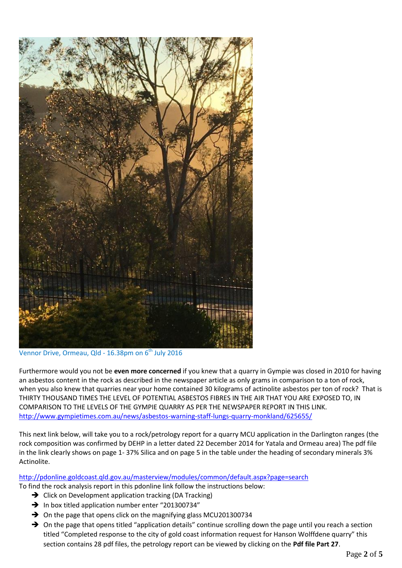

Vennor Drive, Ormeau, Qld -  $16.38$ pm on  $6<sup>th</sup>$  July 2016

Furthermore would you not be **even more concerned** if you knew that a quarry in Gympie was closed in 2010 for having an asbestos content in the rock as described in the newspaper article as only grams in comparison to a ton of rock, when you also knew that quarries near your home contained 30 kilograms of actinolite asbestos per ton of rock? That is THIRTY THOUSAND TIMES THE LEVEL OF POTENTIAL ASBESTOS FIBRES IN THE AIR THAT YOU ARE EXPOSED TO, IN COMPARISON TO THE LEVELS OF THE GYMPIE QUARRY AS PER THE NEWSPAPER REPORT IN THIS LINK. <http://www.gympietimes.com.au/news/asbestos-warning-staff-lungs-quarry-monkland/625655/>

This next link below, will take you to a rock/petrology report for a quarry MCU application in the Darlington ranges (the rock composition was confirmed by DEHP in a letter dated 22 December 2014 for Yatala and Ormeau area) The pdf file in the link clearly shows on page 1- 37% Silica and on page 5 in the table under the heading of secondary minerals 3% Actinolite.

#### <http://pdonline.goldcoast.qld.gov.au/masterview/modules/common/default.aspx?page=search>

To find the rock analysis report in this pdonline link follow the instructions below:

- $\rightarrow$  Click on Development application tracking (DA Tracking)
- $\rightarrow$  In box titled application number enter "201300734"
- $\rightarrow$  On the page that opens click on the magnifying glass MCU201300734
- → On the page that opens titled "application details" continue scrolling down the page until you reach a section titled "Completed response to the city of gold coast information request for Hanson Wolffdene quarry" this section contains 28 pdf files, the petrology report can be viewed by clicking on the **Pdf file Part 27**.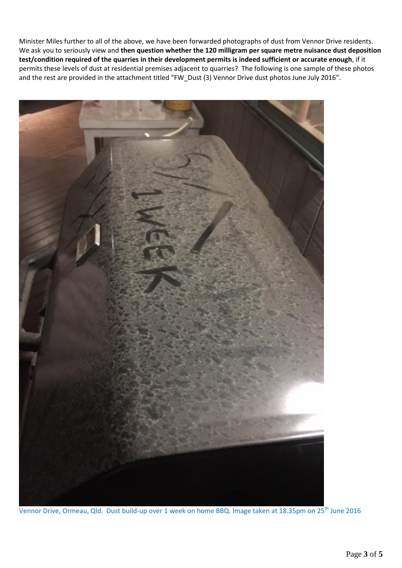Minister Miles further to all of the above, we have been forwarded photographs of dust from Vennor Drive residents. We ask you to seriously view and **then question whether the 120 milligram per square metre nuisance dust deposition test/condition required of the quarries in their development permits is indeed sufficient or accurate enough**, if it permits these levels of dust at residential premises adjacent to quarries? The following is one sample of these photos and the rest are provided in the attachment titled "FW\_Dust (3) Vennor Drive dust photos June July 2016".



Vennor Drive, Ormeau, Qld. Dust build-up over 1 week on home BBQ. Image taken at 18.35pm on 25<sup>th</sup> June 2016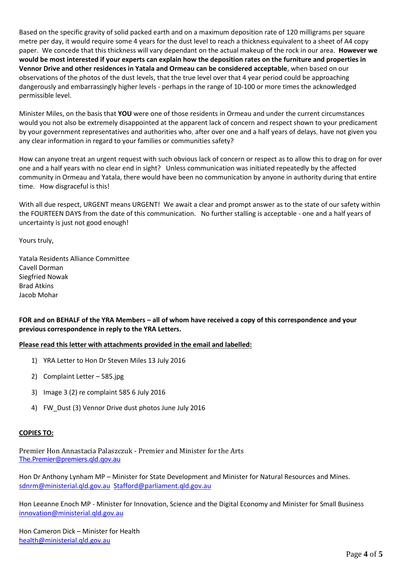Based on the specific gravity of solid packed earth and on a maximum deposition rate of 120 milligrams per square metre per day, it would require some 4 years for the dust level to reach a thickness equivalent to a sheet of A4 copy paper. We concede that this thickness will vary dependant on the actual makeup of the rock in our area. **However we would be most interested if your experts can explain how the deposition rates on the furniture and properties in Vennor Drive and other residences in Yatala and Ormeau can be considered acceptable**, when based on our observations of the photos of the dust levels, that the true level over that 4 year period could be approaching dangerously and embarrassingly higher levels - perhaps in the range of 10-100 or more times the acknowledged permissible level.

Minister Miles, on the basis that **YOU** were one of those residents in Ormeau and under the current circumstances would you not also be extremely disappointed at the apparent lack of concern and respect shown to your predicament by your government representatives and authorities who, after over one and a half years of delays, have not given you any clear information in regard to your families or communities safety?

How can anyone treat an urgent request with such obvious lack of concern or respect as to allow this to drag on for over one and a half years with no clear end in sight? Unless communication was initiated repeatedly by the affected community in Ormeau and Yatala, there would have been no communication by anyone in authority during that entire time. How disgraceful is this!

With all due respect, URGENT means URGENT! We await a clear and prompt answer as to the state of our safety within the FOURTEEN DAYS from the date of this communication. No further stalling is acceptable - one and a half years of uncertainty is just not good enough!

Yours truly,

Yatala Residents Alliance Committee Cavell Dorman Siegfried Nowak Brad Atkins Jacob Mohar

**FOR and on BEHALF of the YRA Members – all of whom have received a copy of this correspondence and your previous correspondence in reply to the YRA Letters.**

**Please read this letter with attachments provided in the email and labelled:**

- 1) YRA Letter to Hon Dr Steven Miles 13 July 2016
- 2) Complaint Letter 585.jpg
- 3) Image 3 (2) re complaint 585 6 July 2016
- 4) FW\_Dust (3) Vennor Drive dust photos June July 2016

#### **COPIES TO:**

Premier Hon Annastacia Palaszczuk - Premier and Minister for the Arts [The.Premier@premiers.qld.gov.au](mailto:The.Premier@premiers.qld.gov.au)

Hon Dr Anthony Lynham MP – Minister for State Development and Minister for Natural Resources and Mines. [sdnrm@ministerial.qld.gov.au](mailto:sdnrm@ministerial.qld.gov.au) [Stafford@parliament.qld.gov.au](mailto:Stafford@parliament.qld.gov.au)

Hon Leeanne Enoch MP - Minister for Innovation, Science and the Digital Economy and Minister for Small Business [innovation@ministerial.qld.gov.au](mailto:innovation@ministerial.qld.gov.au)

Hon Cameron Dick – Minister for Health [health@ministerial.qld.gov.au](mailto:health@ministerial.qld.gov.au)